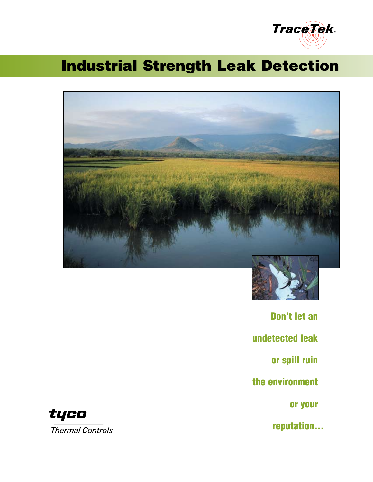

# Industrial Strength Leak Detection





Don't let an undetected leak or spill ruin the environment or your reputation...

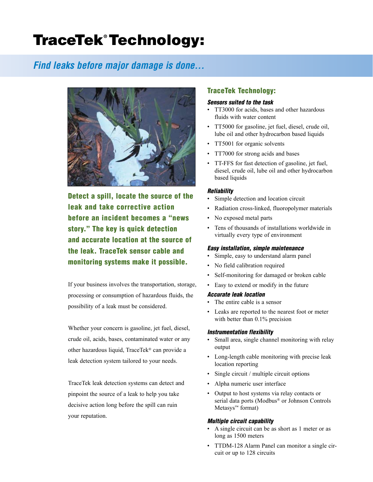# TraceTek® Technology:

## *Find leaks before major damage is done...*



Detect a spill, locate the source of the leak and take corrective action before an incident becomes a "news story." The key is quick detection and accurate location at the source of the leak. TraceTek sensor cable and monitoring systems make it possible.

If your business involves the transportation, storage, processing or consumption of hazardous fluids, the possibility of a leak must be considered.

Whether your concern is gasoline, jet fuel, diesel, crude oil, acids, bases, contaminated water or any other hazardous liquid, TraceTek® can provide a leak detection system tailored to your needs.

TraceTek leak detection systems can detect and pinpoint the source of a leak to help you take decisive action long before the spill can ruin your reputation.

### TraceTek Technology:

#### *Sensors suited to the task*

- TT3000 for acids, bases and other hazardous fluids with water content
- TT5000 for gasoline, jet fuel, diesel, crude oil, lube oil and other hydrocarbon based liquids
- TT5001 for organic solvents
- TT7000 for strong acids and bases
- TT-FFS for fast detection of gasoline, jet fuel, diesel, crude oil, lube oil and other hydrocarbon based liquids

#### *Reliability*

- Simple detection and location circuit
- Radiation cross-linked, fluoropolymer materials
- No exposed metal parts
- Tens of thousands of installations worldwide in virtually every type of environment

#### *Easy installation, simple maintenance*

- Simple, easy to understand alarm panel
- No field calibration required
- Self-monitoring for damaged or broken cable
- Easy to extend or modify in the future

#### *Accurate leak location*

- The entire cable is a sensor
- Leaks are reported to the nearest foot or meter with better than 0.1% precision

#### *Instrumentation flexibility*

- Small area, single channel monitoring with relay output
- Long-length cable monitoring with precise leak location reporting
- Single circuit / multiple circuit options
- Alpha numeric user interface
- Output to host systems via relay contacts or serial data ports (Modbus® or Johnson Controls Metasys™ format)

#### *Multiple circuit capability*

- A single circuit can be as short as 1 meter or as long as 1500 meters
- TTDM-128 Alarm Panel can monitor a single circuit or up to 128 circuits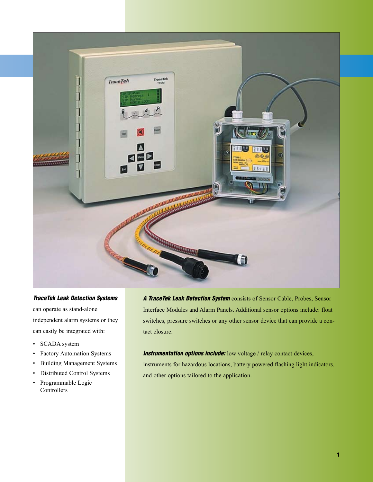

#### *TraceTek Leak Detection Systems*

can operate as stand-alone independent alarm systems or they can easily be integrated with:

- SCADA system
- Factory Automation Systems
- Building Management Systems
- Distributed Control Systems
- Programmable Logic Controllers

*A TraceTek Leak Detection System* consists of Sensor Cable, Probes, Sensor Interface Modules and Alarm Panels. Additional sensor options include: float switches, pressure switches or any other sensor device that can provide a contact closure.

**Instrumentation options include:** low voltage / relay contact devices, instruments for hazardous locations, battery powered flashing light indicators, and other options tailored to the application.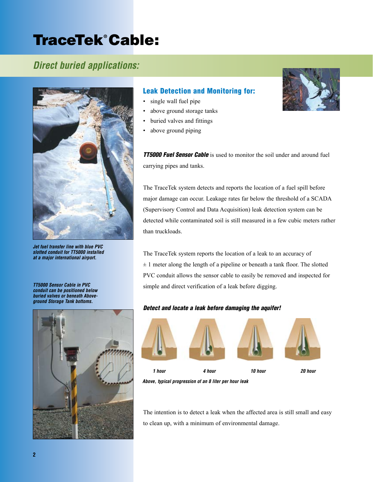# TraceTek® Cable:

## *Direct buried applications:*



*Jet fuel transfer line with blue PVC slotted conduit for TT5000 installed at a major international airport.*

*TT5000 Sensor Cable in PVC conduit can be positioned below buried valves or beneath Aboveground Storage Tank bottoms.*



### Leak Detection and Monitoring for:

- single wall fuel pipe
- above ground storage tanks
- buried valves and fittings
- above ground piping

*TT5000 Fuel Sensor Cable* is used to monitor the soil under and around fuel carrying pipes and tanks.

The TraceTek system detects and reports the location of a fuel spill before major damage can occur. Leakage rates far below the threshold of a SCADA (Supervisory Control and Data Acquisition) leak detection system can be detected while contaminated soil is still measured in a few cubic meters rather than truckloads.

The TraceTek system reports the location of a leak to an accuracy of  $\pm$  1 meter along the length of a pipeline or beneath a tank floor. The slotted PVC conduit allows the sensor cable to easily be removed and inspected for simple and direct verification of a leak before digging.

#### *Detect and locate a leak before damaging the aquifer!*



*Above, typical progression of an 8 liter per hour leak*

The intention is to detect a leak when the affected area is still small and easy to clean up, with a minimum of environmental damage.

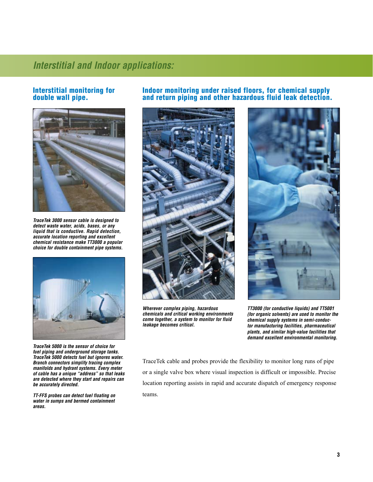## *Direct buried applications: Interstitial and Indoor applications:*

#### Interstitial monitoring for double wall pipe.



*TraceTek 3000 sensor cable is designed to detect waste water, acids, bases, or any liquid that is conductive. Rapid detection, accurate location reporting and excellent chemical resistance make TT3000 a popular choice for double containment pipe systems.*



*TraceTek 5000 is the sensor of choice for fuel piping and underground storage tanks. TraceTek 5000 detects fuel but ignores water. Branch connectors simplify tracing complex manifolds and hydrant systems. Every meter of cable has a unique "address" so that leaks are detected where they start and repairs can be accurately directed.*

*TT-FFS probes can detect fuel floating on water in sumps and bermed containment areas.*

### Indoor monitoring under raised floors, for chemical supply and return piping and other hazardous fluid leak detection.



*Wherever complex piping, hazardous chemicals and critical working environments come together, a system to monitor for fluid leakage becomes critical.*



*TT3000 (for conductive liquids) and TT5001 (for organic solvents) are used to monitor the chemical supply systems in semi-conductor manufacturing facilities, pharmaceutical plants, and similar high-value facilities that demand excellent environmental monitoring.*

TraceTek cable and probes provide the flexibility to monitor long runs of pipe or a single valve box where visual inspection is difficult or impossible. Precise location reporting assists in rapid and accurate dispatch of emergency response teams.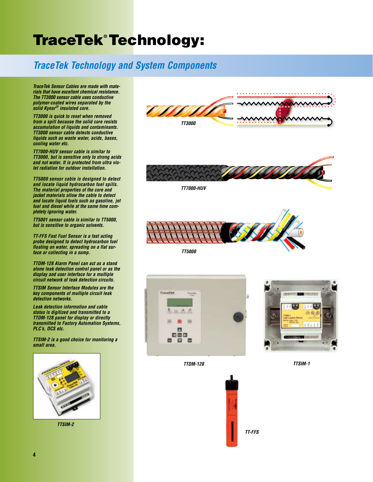# TraceTek® Technology:

# *TraceTek Technology and System Components*

*TraceTek Sensor Cables are made with materials that have excellent chemical resistance. The TT3000 sensor cable uses conductive polymer-coated wires separated by the solid Kynar® insulated core.*

*TT3000 is quick to reset when removed from a spill because the solid core resists accumulation of liquids and contaminants. TT3000 sensor cable detects conductive liquids such as waste water, acids, bases, cooling water etc.*

*TT7000-HUV sensor cable is similar to TT3000, but is sensitive only to strong acids and not water. It is protected from ultra violet radiation for outdoor installation.*

*TT5000 sensor cable is designed to detect and locate liquid hydrocarbon fuel spills. The material properties of the core and jacket materials allow the cable to detect and locate liquid fuels such as gasoline, jet fuel and diesel while at the same time completely ignoring water.*

*TT5001 sensor cable is similar to TT5000, but is sensitive to organic solvents.*

*TT-FFS Fast Fuel Sensor is a fast acting probe designed to detect hydrocarbon fuel floating on water, spreading on a flat surface or collecting in a sump.*

*TTDM-128 Alarm Panel can act as a stand alone leak detection control panel or as the display and user interface for a multiple circuit network of leak detection circuits.*

*TTSIM Sensor Interface Modules are the key components of multiple circuit leak detection networks.*

*Leak detection information and cable status is digitized and transmitted to a TTDM-128 panel for display or directly transmitted to Factory Automation Systems, PLC's, DCS etc.*

*TTSIM-2 is a good choice for monitoring a small area.*



*TTSIM-2*

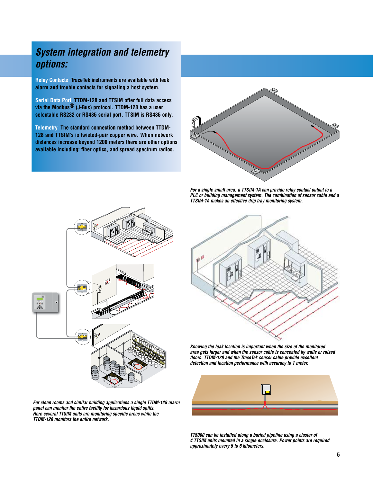## *System integration and telemetry options:*

**Relay Contacts TraceTek instruments are available with leak alarm and trouble contacts for signaling a host system.** 

**Serial Data Port TTDM-128 and TTSIM offer full data access via the Modbus® (J-Bus) protocol. TTDM-128 has a user selectable RS232 or RS485 serial port. TTSIM is RS485 only.**

**Telemetry The standard connection method between TTDM-128 and TTSIM's is twisted-pair copper wire. When network distances increase beyond 1200 meters there are other options available including: fiber optics, and spread spectrum radios.**



*For a single small area, a TTSIM-1A can provide relay contact output to a PLC or building management system. The combination of sensor cable and a TTSIM-1A makes an effective drip tray monitoring system.*



*For clean rooms and similar building applications a single TTDM-128 alarm panel can monitor the entire facility for hazardous liquid spills. Here several TTSIM units are monitoring specific areas while the TTDM-128 monitors the entire network.*



*Knowing the leak location is important when the size of the monitored area gets larger and when the sensor cable is concealed by walls or raised floors. TTDM-128 and the TraceTek sensor cable provide excellent detection and location performance with accuracy to 1 meter.*



*TT5000 can be installed along a buried pipeline using a cluster of 4 TTSIM units mounted in a single enclosure. Power points are required approximately every 5 to 6 kilometers.*